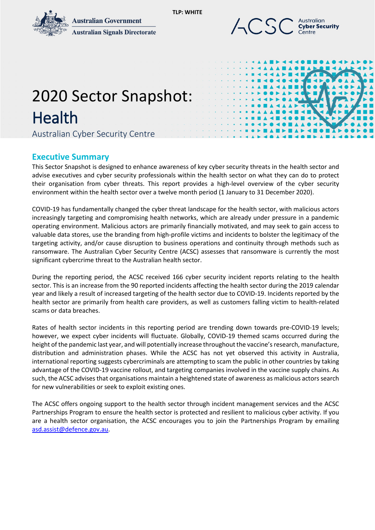**Australian Government** 



**Australian Signals Directorate** 



# 2020 Sector Snapshot: Health<br>Australian Cyber Security Centre

## **Executive Summary**

This Sector Snapshot is designed to enhance awareness of key cyber security threats in the health sector and advise executives and cyber security professionals within the health sector on what they can do to protect their organisation from cyber threats. This report provides a high-level overview of the cyber security environment within the health sector over a twelve month period (1 January to 31 December 2020).

**TLP: WHITE**

COVID-19 has fundamentally changed the cyber threat landscape for the health sector, with malicious actors increasingly targeting and compromising health networks, which are already under pressure in a pandemic operating environment. Malicious actors are primarily financially motivated, and may seek to gain access to valuable data stores, use the branding from high-profile victims and incidents to bolster the legitimacy of the targeting activity, and/or cause disruption to business operations and continuity through methods such as ransomware. The Australian Cyber Security Centre (ACSC) assesses that ransomware is currently the most significant cybercrime threat to the Australian health sector.

During the reporting period, the ACSC received 166 cyber security incident reports relating to the health sector. This is an increase from the 90 reported incidents affecting the health sector during the 2019 calendar year and likely a result of increased targeting of the health sector due to COVID-19. Incidents reported by the health sector are primarily from health care providers, as well as customers falling victim to health-related scams or data breaches.

Rates of health sector incidents in this reporting period are trending down towards pre-COVID-19 levels; however, we expect cyber incidents will fluctuate. Globally, COVID-19 themed scams occurred during the height of the pandemic last year, and will potentially increase throughout the vaccine's research, manufacture, distribution and administration phases. While the ACSC has not yet observed this activity in Australia, international reporting suggests cybercriminals are attempting to scam the public in other countries by taking advantage of the COVID-19 vaccine rollout, and targeting companies involved in the vaccine supply chains. As such, the ACSC advises that organisations maintain a heightened state of awareness as malicious actors search for new vulnerabilities or seek to exploit existing ones.

The ACSC offers ongoing support to the health sector through incident management services and the ACSC Partnerships Program to ensure the health sector is protected and resilient to malicious cyber activity. If you are a health sector organisation, the ACSC encourages you to join the Partnerships Program by emailing [asd.assist@defence.gov.au.](mailto:asd.assist@defence.gov.au)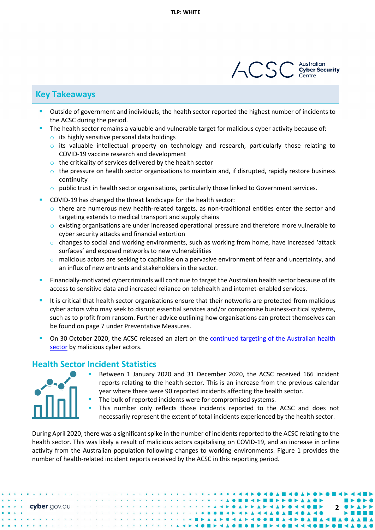

## **Key Takeaways**

- Outside of government and individuals, the health sector reported the highest number of incidents to the ACSC during the period.
	- The health sector remains a valuable and vulnerable target for malicious cyber activity because of:
	- $\circ$  its highly sensitive personal data holdings
	- $\circ$  its valuable intellectual property on technology and research, particularly those relating to COVID-19 vaccine research and development
	- $\circ$  the criticality of services delivered by the health sector
	- $\circ$  the pressure on health sector organisations to maintain and, if disrupted, rapidly restore business continuity
	- $\circ$  public trust in health sector organisations, particularly those linked to Government services.
- COVID-19 has changed the threat landscape for the health sector:
	- $\circ$  there are numerous new health-related targets, as non-traditional entities enter the sector and targeting extends to medical transport and supply chains
	- $\circ$  existing organisations are under increased operational pressure and therefore more vulnerable to cyber security attacks and financial extortion
	- $\circ$  changes to social and working environments, such as working from home, have increased 'attack surfaces' and exposed networks to new vulnerabilities
	- $\circ$  malicious actors are seeking to capitalise on a pervasive environment of fear and uncertainty, and an influx of new entrants and stakeholders in the sector.
- Financially-motivated cybercriminals will continue to target the Australian health sector because of its access to sensitive data and increased reliance on telehealth and internet-enabled services.
- It is critical that health sector organisations ensure that their networks are protected from malicious cyber actors who may seek to disrupt essential services and/or compromise business-critical systems, such as to profit from ransom. Further advice outlining how organisations can protect themselves can be found on page 7 under Preventative Measures.
- On 30 October 2020, the ACSC released an alert on the [continued targeting of the Australian health](https://www.cyber.gov.au/acsc/view-all-content/alerts/sustained-targeting-health-sector)  [sector](https://www.cyber.gov.au/acsc/view-all-content/alerts/sustained-targeting-health-sector) by malicious cyber actors.

## **Health Sector Incident Statistics**



- Between 1 January 2020 and 31 December 2020, the ACSC received 166 incident reports relating to the health sector. This is an increase from the previous calendar year where there were 90 reported incidents affecting the health sector.
- The bulk of reported incidents were for compromised systems.
- This number only reflects those incidents reported to the ACSC and does not necessarily represent the extent of total incidents experienced by the health sector.

During April 2020, there was a significant spike in the number of incidents reported to the ACSC relating to the health sector. This was likely a result of malicious actors capitalising on COVID-19, and an increase in online activity from the Australian population following changes to working environments. Figure 1 provides the number of health-related incident reports received by the ACSC in this reporting period.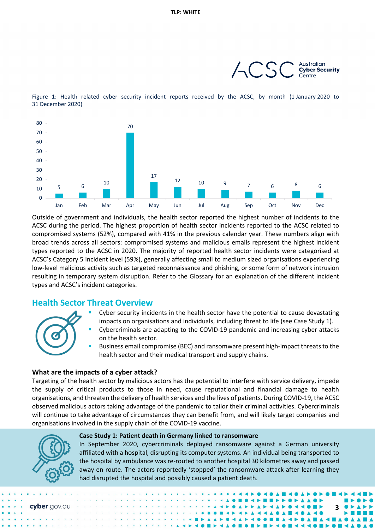

Figure 1: Health related cyber security incident reports received by the ACSC, by month (1 January 2020 to 31 December 2020)



Outside of government and individuals, the health sector reported the highest number of incidents to the ACSC during the period. The highest proportion of health sector incidents reported to the ACSC related to compromised systems (52%), compared with 41% in the previous calendar year. These numbers align with broad trends across all sectors: compromised systems and malicious emails represent the highest incident types reported to the ACSC in 2020. The majority of reported health sector incidents were categorised at ACSC's Category 5 incident level (59%), generally affecting small to medium sized organisations experiencing low-level malicious activity such as targeted reconnaissance and phishing, or some form of network intrusion resulting in temporary system disruption. Refer to the Glossary for an explanation of the different incident types and ACSC's incident categories.

## **Health Sector Threat Overview**



- Cyber security incidents in the health sector have the potential to cause devastating impacts on organisations and individuals, including threat to life (see Case Study 1).
- Cybercriminals are adapting to the COVID-19 pandemic and increasing cyber attacks on the health sector.
- Business email compromise (BEC) and ransomware present high-impact threats to the health sector and their medical transport and supply chains.

#### **What are the impacts of a cyber attack?**

Targeting of the health sector by malicious actors has the potential to interfere with service delivery, impede the supply of critical products to those in need, cause reputational and financial damage to health organisations, and threaten the delivery of health services and the lives of patients. During COVID-19, the ACSC observed malicious actors taking advantage of the pandemic to tailor their criminal activities. Cybercriminals will continue to take advantage of circumstances they can benefit from, and will likely target companies and organisations involved in the supply chain of the COVID-19 vaccine.



#### **Case Study 1: Patient death in Germany linked to ransomware**

In September 2020, cybercriminals deployed ransomware against a German university affiliated with a hospital, disrupting its computer systems. An individual being transported to the hospital by ambulance was re-routed to another hospital 30 kilometres away and passed away en route. The actors reportedly 'stopped' the ransomware attack after learning they had disrupted the hospital and possibly caused a patient death.

**3**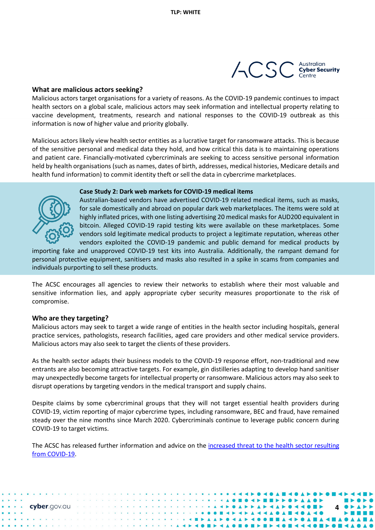

#### **What are malicious actors seeking?**

Malicious actors target organisations for a variety of reasons. As the COVID-19 pandemic continues to impact health sectors on a global scale, malicious actors may seek information and intellectual property relating to vaccine development, treatments, research and national responses to the COVID-19 outbreak as this information is now of higher value and priority globally.

Malicious actors likely view health sector entities as a lucrative target for ransomware attacks. This is because of the sensitive personal and medical data they hold, and how critical this data is to maintaining operations and patient care. Financially-motivated cybercriminals are seeking to access sensitive personal information held by health organisations (such as names, dates of birth, addresses, medical histories, Medicare details and health fund information) to commit identity theft or sell the data in cybercrime marketplaces.

#### **Case Study 2: Dark web markets for COVID-19 medical items**



Australian-based vendors have advertised COVID-19 related medical items, such as masks, for sale domestically and abroad on popular dark web marketplaces. The items were sold at highly inflated prices, with one listing advertising 20 medical masks for AUD200 equivalent in bitcoin. Alleged COVID-19 rapid testing kits were available on these marketplaces. Some vendors sold legitimate medical products to project a legitimate reputation, whereas other vendors exploited the COVID-19 pandemic and public demand for medical products by

importing fake and unapproved COVID-19 test kits into Australia. Additionally, the rampant demand for personal protective equipment, sanitisers and masks also resulted in a spike in scams from companies and individuals purporting to sell these products.

The ACSC encourages all agencies to review their networks to establish where their most valuable and sensitive information lies, and apply appropriate cyber security measures proportionate to the risk of compromise.

#### **Who are they targeting?**

Malicious actors may seek to target a wide range of entities in the health sector including hospitals, general practice services, pathologists, research facilities, aged care providers and other medical service providers. Malicious actors may also seek to target the clients of these providers.

As the health sector adapts their business models to the COVID-19 response effort, non-traditional and new entrants are also becoming attractive targets. For example, gin distilleries adapting to develop hand sanitiser may unexpectedly become targets for intellectual property or ransomware. Malicious actors may also seek to disrupt operations by targeting vendors in the medical transport and supply chains.

Despite claims by some cybercriminal groups that they will not target essential health providers during COVID-19, victim reporting of major cybercrime types, including ransomware, BEC and fraud, have remained steady over the nine months since March 2020. Cybercriminals continue to leverage public concern during COVID-19 to target victims.

The ACSC has released further information and advice on the increased threat to the health sector resulting [from COVID-19.](file:///%5C%5Cd85userdata.dpe.protected.mil.au%5Csh%5Cshane.jenkins2%5CMy%20Documents%5C01.%20Tasking%5C2021%5C02.%20February%5C04.%20Health%20Sector%20Snapshot%5C%EF%82%A7https:%5Cwww.cyber.gov.au%5Cacsc%5Cview-all-content%5Calerts%5Cadvanced-persistent-threat-apt-actors-targeting-australian-health-sector-organisations-and-covid-19-essential-services)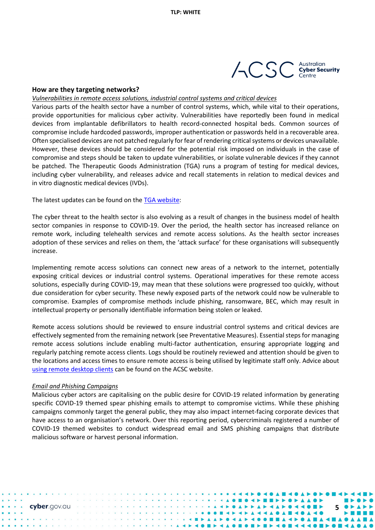

#### **How are they targeting networks?**

*Vulnerabilities in remote access solutions, industrial control systems and critical devices*

Various parts of the health sector have a number of control systems, which, while vital to their operations, provide opportunities for malicious cyber activity. Vulnerabilities have reportedly been found in medical devices from implantable defibrillators to health record-connected hospital beds. Common sources of compromise include hardcoded passwords, improper authentication or passwords held in a recoverable area. Often specialised devices are not patched regularly for fear of rendering critical systems or devices unavailable. However, these devices should be considered for the potential risk imposed on individuals in the case of compromise and steps should be taken to update vulnerabilities, or isolate vulnerable devices if they cannot be patched. The Therapeutic Goods Administration (TGA) runs a program of testing for medical devices, including cyber vulnerability, and releases advice and recall statements in relation to medical devices and in vitro diagnostic medical devices (IVDs).

The latest updates can be found on th[e TGA website:](https://www.tga.gov.au/regulatory-decisions-notices-medical-devices-ivds)

The cyber threat to the health sector is also evolving as a result of changes in the business model of health sector companies in response to COVID-19. Over the period, the health sector has increased reliance on remote work, including telehealth services and remote access solutions. As the health sector increases adoption of these services and relies on them, the 'attack surface' for these organisations will subsequently increase.

Implementing remote access solutions can connect new areas of a network to the internet, potentially exposing critical devices or industrial control systems. Operational imperatives for these remote access solutions, especially during COVID-19, may mean that these solutions were progressed too quickly, without due consideration for cyber security. These newly exposed parts of the network could now be vulnerable to compromise. Examples of compromise methods include phishing, ransomware, BEC, which may result in intellectual property or personally identifiable information being stolen or leaked.

Remote access solutions should be reviewed to ensure industrial control systems and critical devices are effectively segmented from the remaining network (see Preventative Measures). Essential steps for managing remote access solutions include enabling multi-factor authentication, ensuring appropriate logging and regularly patching remote access clients. Logs should be routinely reviewed and attention should be given to the locations and access times to ensure remote access is being utilised by legitimate staff only. Advice about using [remote desktop clients](https://www.cyber.gov.au/acsc/view-all-content/publications/using-remote-desktop-clients) can be found on the ACSC website.

#### *Email and Phishing Campaigns*

Malicious cyber actors are capitalising on the public desire for COVID-19 related information by generating specific COVID-19 themed spear phishing emails to attempt to compromise victims. While these phishing campaigns commonly target the general public, they may also impact internet-facing corporate devices that have access to an organisation's network. Over this reporting period, cybercriminals registered a number of COVID-19 themed websites to conduct widespread email and SMS phishing campaigns that distribute malicious software or harvest personal information.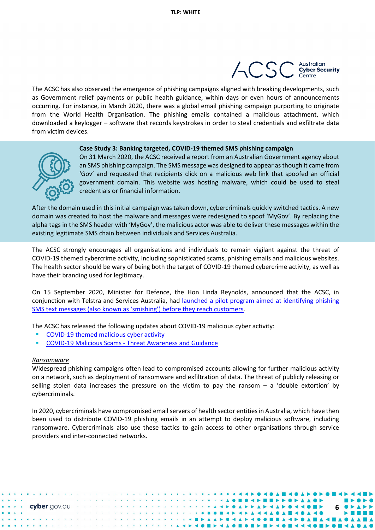

The ACSC has also observed the emergence of phishing campaigns aligned with breaking developments, such as Government relief payments or public health guidance, within days or even hours of announcements occurring. For instance, in March 2020, there was a global email phishing campaign purporting to originate from the World Health Organisation. The phishing emails contained a malicious attachment, which downloaded a keylogger – software that records keystrokes in order to steal credentials and exfiltrate data from victim devices.

#### **Case Study 3: Banking targeted, COVID-19 themed SMS phishing campaign**



On 31 March 2020, the ACSC received a report from an Australian Government agency about an SMS phishing campaign. The SMS message was designed to appear as though it came from 'Gov' and requested that recipients click on a malicious web link that spoofed an official government domain. This website was hosting malware, which could be used to steal credentials or financial information.

After the domain used in this initial campaign was taken down, cybercriminals quickly switched tactics. A new domain was created to host the malware and messages were redesigned to spoof 'MyGov'. By replacing the alpha tags in the SMS header with 'MyGov', the malicious actor was able to deliver these messages within the existing legitimate SMS chain between individuals and Services Australia.

The ACSC strongly encourages all organisations and individuals to remain vigilant against the threat of COVID-19 themed cybercrime activity, including sophisticated scams, phishing emails and malicious websites. The health sector should be wary of being both the target of COVID-19 themed cybercrime activity, as well as have their branding used for legitimacy.

On 15 September 2020, Minister for Defence, the Hon Linda Reynolds, announced that the ACSC, in conjunction with Telstra and Services Australia, had [launched a pilot program aimed at identifying phishing](https://www.minister.defence.gov.au/minister/lreynolds/media-releases/new-pilot-program-block-cyber-criminals-impersonating-services) SMS text [messages \(also known as 'smishing'\) before they reach customers.](https://www.minister.defence.gov.au/minister/lreynolds/media-releases/new-pilot-program-block-cyber-criminals-impersonating-services)

The ACSC has released the following updates about COVID-19 malicious cyber activity:

- [COVID-19 themed malicious cyber activity](https://www.cyber.gov.au/acsc/view-all-content/advisories/covid-19-themed-malicious-cyber-activity)
- COVID-19 Malicious Scams [Threat Awareness and Guidance](https://www.cyber.gov.au/acsc/view-all-content/advisories/covid-19-malicous-scams-threat-awareness-and-guidance)

#### *Ransomware*

Widespread phishing campaigns often lead to compromised accounts allowing for further malicious activity on a network, such as deployment of ransomware and exfiltration of data. The threat of publicly releasing or selling stolen data increases the pressure on the victim to pay the ransom – a 'double extortion' by cybercriminals.

In 2020, cybercriminals have compromised email servers of health sector entities in Australia, which have then been used to distribute COVID-19 phishing emails in an attempt to deploy malicious software, including ransomware. Cybercriminals also use these tactics to gain access to other organisations through service providers and inter-connected networks.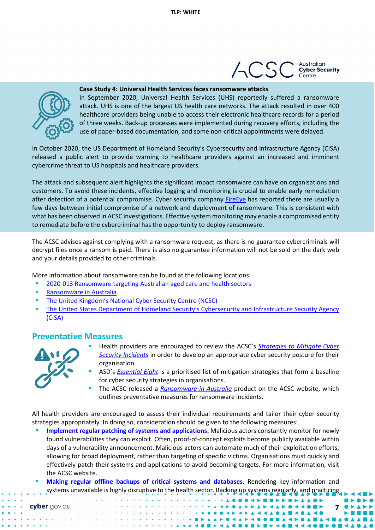



#### **Case Study 4: Universal Health Services faces ransomware attacks**

In September 2020, Universal Health Services (UHS) reportedly suffered a ransomware attack. UHS is one of the largest US health care networks. The attack resulted in over 400 healthcare providers being unable to access their electronic healthcare records for a period of three weeks. Back-up processes were implemented during recovery efforts, including the use of paper-based documentation, and some non-critical appointments were delayed.

In October 2020, the US Department of Homeland Security's Cybersecurity and Infrastructure Agency (CISA) released a public alert to provide warning to healthcare providers against an increased and imminent cybercrime threat to US hospitals and healthcare providers.

The attack and subsequent alert highlights the significant impact ransomware can have on organisations and customers. To avoid these incidents, effective logging and monitoring is crucial to enable early remediation after detection of a potential compromise. Cyber security company [FireEye](https://www.fireeye.com/blog/threat-research/2020/03/they-come-in-the-night-ransomware-deployment-trends.html) has reported there are usually a few days between initial compromise of a network and deployment of ransomware. This is consistent with what has been observed in ACSC investigations. Effective system monitoring may enable a compromised entity to remediate before the cybercriminal has the opportunity to deploy ransomware.

The ACSC advises against complying with a ransomware request, as there is no guarantee cybercriminals will decrypt files once a ransom is paid. There is also no guarantee information will not be sold on the dark web and your details provided to other criminals.

More information about ransomware can be found at the following locations:

- [2020-013 Ransomware targeting Australian aged care and health sectors](https://www.cyber.gov.au/acsc/view-all-content/advisories/2020-013-ransomware-targeting-australian-aged-care-and-healthcare-sectors)
- [Ransomware in Australia](https://www.cyber.gov.au/acsc/view-all-content/publications/ransomware-australia)
- [The United Kingdom's National Cyber Security Centre \(NCSC\)](https://www.ncsc.gov.uk/guidance/mitigating-malware-and-ransomware-attacks#stepsifinfected)
- [The United States Department of Homeland Security's Cybersecurity and Infrastructure Security Agency](https://us-cert.cisa.gov/Ransomware)  [\(CISA\)](https://us-cert.cisa.gov/Ransomware)

## **Preventative Measures**



- Health providers are encouraged to review the ACSC's *[Strategies to Mitigate Cyber](https://www.cyber.gov.au/acsc/view-all-content/publications/strategies-mitigate-cyber-security-incidents-mitigation-details)  [Security Incidents](https://www.cyber.gov.au/acsc/view-all-content/publications/strategies-mitigate-cyber-security-incidents-mitigation-details)* in order to develop an appropriate cyber security posture for their organisation.
- ASD's *[Essential Eight](https://www.cyber.gov.au/acsc/view-all-content/publications/essential-eight-explained)* is a prioritised list of mitigation strategies that form a baseline for cyber security strategies in organisations.
- The ACSC released a *[Ransomware in Australia](https://www.cyber.gov.au/acsc/view-all-content/publications/ransomware-australia)* product on the ACSC website, which outlines preventative measures for ransomware incidents.

All health providers are encouraged to assess their individual requirements and tailor their cyber security strategies appropriately. In doing so, consideration should be given to the following measures:

- **[Implement regular patching of systems and applications.](https://www.cyber.gov.au/acsc/view-all-content/guidance/system-patching)** Malicious actors constantly monitor for newly found vulnerabilities they can exploit. Often, proof-of-concept exploits become publicly available within days of a vulnerability announcement. Malicious actors can automate much of their exploitation efforts, allowing for broad deployment, rather than targeting of specific victims. Organisations must quickly and effectively patch their systems and applications to avoid becoming targets. For more information, visit the ACSC website.
- **[Making regular offline backups of critical systems and databases.](https://www.cyber.gov.au/acsc/view-all-content/publications/strategies-mitigate-cyber-security-incidents-mitigation-details)** Rendering key information and systems unavailable is highly disruptive to the health sector. Backing up systems regularly, and practicing

|  |  | cyber.gov.au |  |
|--|--|--------------|--|
|  |  |              |  |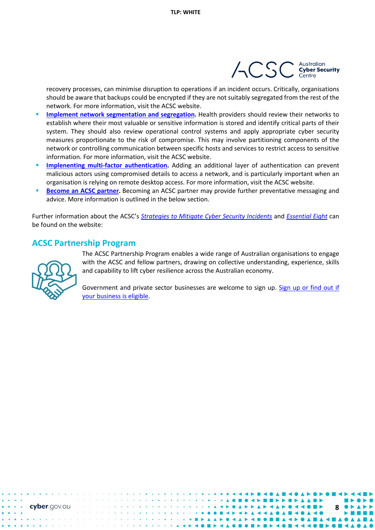

recovery processes, can minimise disruption to operations if an incident occurs. Critically, organisations should be aware that backups could be encrypted if they are not suitably segregated from the rest of the network. For more information, visit the ACSC website.

- **[Implement network segmentation and segregation.](https://www.cyber.gov.au/index.php/publications/network-segmentation-and-segregation)** Health providers should review their networks to establish where their most valuable or sensitive information is stored and identify critical parts of their system. They should also review operational control systems and apply appropriate cyber security measures proportionate to the risk of compromise. This may involve partitioning components of the network or controlling communication between specific hosts and services to restrict access to sensitive information. For more information, visit the ACSC website.
- **Implenenting [multi-factor authentication.](https://www.cyber.gov.au/acsc/view-all-content/publications/implementing-multi-factor-authentication)** Adding an additional layer of authentication can prevent malicious actors using compromised details to access a network, and is particularly important when an organisation is relying on remote desktop access. For more information, visit the ACSC website.
- **[Become an ACSC partner.](https://www.cyber.gov.au/partner-hub/overview)** Becoming an ACSC partner may provide further preventative messaging and advice. More information is outlined in the below section.

Further information about the ACSC's *[Strategies to Mitigate Cyber Security Incidents](https://www.cyber.gov.au/acsc/view-all-content/publications/strategies-mitigate-cyber-security-incidents-mitigation-details)* and *[Essential Eight](https://www.cyber.gov.au/acsc/view-all-content/essential-eight/essential-eight-explained)* can be found on the website:

## **ACSC Partnership Program**



cyber.gov.au

The ACSC Partnership Program enables a wide range of Australian organisations to engage with the ACSC and fellow partners, drawing on collective understanding, experience, skills and capability to lift cyber resilience across the Australian economy.

Government and private sector businesses are welcome to sign up. Sign up or find out if [your business is eligible.](https://www.cyber.gov.au/acsc/large-organisations-and-infrastructure/become-an-acsc-partner)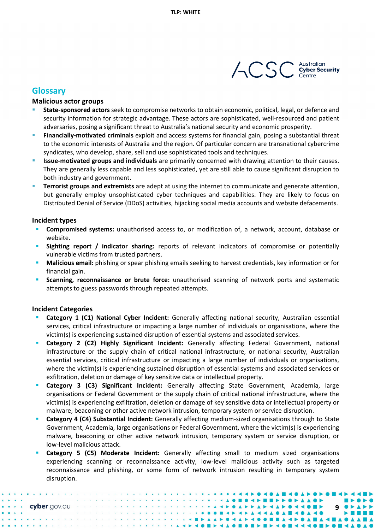

### **Glossary**

#### **Malicious actor groups**

- **State-sponsored actors** seek to compromise networks to obtain economic, political, legal, or defence and security information for strategic advantage. These actors are sophisticated, well-resourced and patient adversaries, posing a significant threat to Australia's national security and economic prosperity.
- **Financially-motivated criminals** exploit and access systems for financial gain, posing a substantial threat to the economic interests of Australia and the region. Of particular concern are transnational cybercrime syndicates, who develop, share, sell and use sophisticated tools and techniques.
- **Issue-motivated groups and individuals** are primarily concerned with drawing attention to their causes. They are generally less capable and less sophisticated, yet are still able to cause significant disruption to both industry and government.
- **Terrorist groups and extremists** are adept at using the internet to communicate and generate attention, but generally employ unsophisticated cyber techniques and capabilities. They are likely to focus on Distributed Denial of Service (DDoS) activities, hijacking social media accounts and website defacements.

#### **Incident types**

- **Compromised systems:** unauthorised access to, or modification of, a network, account, database or website.
- **Sighting report / indicator sharing:** reports of relevant indicators of compromise or potentially vulnerable victims from trusted partners.
- **Malicious email:** phishing or spear phishing emails seeking to harvest credentials, key information or for financial gain.
- **Scanning, reconnaissance or brute force:** unauthorised scanning of network ports and systematic attempts to guess passwords through repeated attempts.

#### **Incident Categories**

- **Category 1 (C1) National Cyber Incident:** Generally affecting national security, Australian essential services, critical infrastructure or impacting a large number of individuals or organisations, where the victim(s) is experiencing sustained disruption of essential systems and associated services.
- **Category 2 (C2) Highly Significant Incident:** Generally affecting Federal Government, national infrastructure or the supply chain of critical national infrastructure, or national security, Australian essential services, critical infrastructure or impacting a large number of individuals or organisations, where the victim(s) is experiencing sustained disruption of essential systems and associated services or exfiltration, deletion or damage of key sensitive data or intellectual property.
- **Category 3 (C3) Significant Incident:** Generally affecting State Government, Academia, large organisations or Federal Government or the supply chain of critical national infrastructure, where the victim(s) is experiencing exfiltration, deletion or damage of key sensitive data or intellectual property or malware, beaconing or other active network intrusion, temporary system or service disruption.
- **Category 4 (C4) Substantial Incident:** Generally affecting medium-sized organisations through to State Government, Academia, large organisations or Federal Government, where the victim(s) is experiencing malware, beaconing or other active network intrusion, temporary system or service disruption, or low-level malicious attack.
- **Category 5 (C5) Moderate Incident:** Generally affecting small to medium sized organisations experiencing scanning or reconnaissance activity, low-level malicious activity such as targeted reconnaissance and phishing, or some form of network intrusion resulting in temporary system disruption.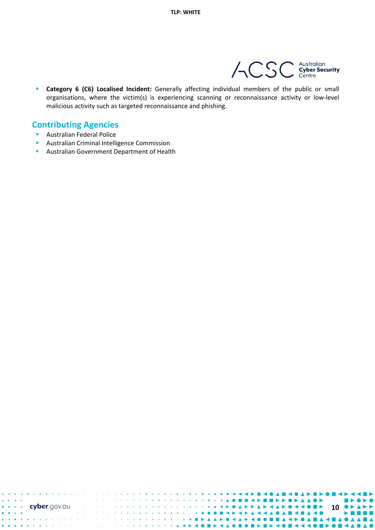

 **Category 6 (C6) Localised Incident:** Generally affecting individual members of the public or small organisations, where the victim(s) is experiencing scanning or reconnaissance activity or low-level malicious activity such as targeted reconnaissance and phishing.

## **Contributing Agencies**

- **Australian Federal Police**
- **Australian Criminal Intelligence Commission**
- **Australian Government Department of Health**

| $\sim$                                                                                                                                                                                                                         |  |  |  |  |  |  |  |  |  |  |  |  |  |  |  |  |  |  |  |  |  |  |  |  |  |  |  |  |  |  |  |  |
|--------------------------------------------------------------------------------------------------------------------------------------------------------------------------------------------------------------------------------|--|--|--|--|--|--|--|--|--|--|--|--|--|--|--|--|--|--|--|--|--|--|--|--|--|--|--|--|--|--|--|--|
| EXPOSE CYPER GOV.CUP RESERVATION AND A RELEASE AND A RELEASE AND A RELEASE AND A RELEASE AND A RELEASE AND A RELEASE AND A RELEASE AND A RELEASE AND A RELEASE AND A RELEASE AND A RELEASE AND A RELEASE AND A RELEASE AND A R |  |  |  |  |  |  |  |  |  |  |  |  |  |  |  |  |  |  |  |  |  |  |  |  |  |  |  |  |  |  |  |  |
| $\rightarrow$                                                                                                                                                                                                                  |  |  |  |  |  |  |  |  |  |  |  |  |  |  |  |  |  |  |  |  |  |  |  |  |  |  |  |  |  |  |  |  |
|                                                                                                                                                                                                                                |  |  |  |  |  |  |  |  |  |  |  |  |  |  |  |  |  |  |  |  |  |  |  |  |  |  |  |  |  |  |  |  |